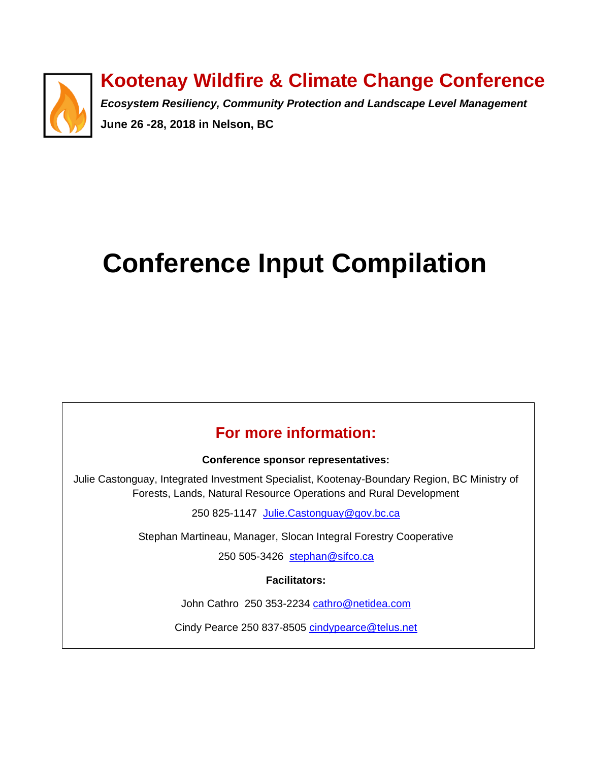

# **Kootenay Wildfire & Climate Change Conference**

*Ecosystem Resiliency, Community Protection and Landscape Level Management* **June 26 -28, 2018 in Nelson, BC**

# **Conference Input Compilation**

# **For more information:**

#### **Conference sponsor representatives:**

Julie Castonguay, Integrated Investment Specialist, Kootenay-Boundary Region, BC Ministry of Forests, Lands, Natural Resource Operations and Rural Development

250 825-1147 [Julie.Castonguay@gov.bc.ca](mailto:Julie.Castonguay@gov.bc.ca)

Stephan Martineau, Manager, Slocan Integral Forestry Cooperative

250 505-3426 [stephan@sifco.ca](mailto:stephan@sifco.ca)

**Facilitators:**

John Cathro 250 353-2234 [cathro@netidea.com](mailto:cathro@netidea.com)

Cindy Pearce 250 837-8505 [cindypearce@telus.net](mailto:cindypearce@telus.net)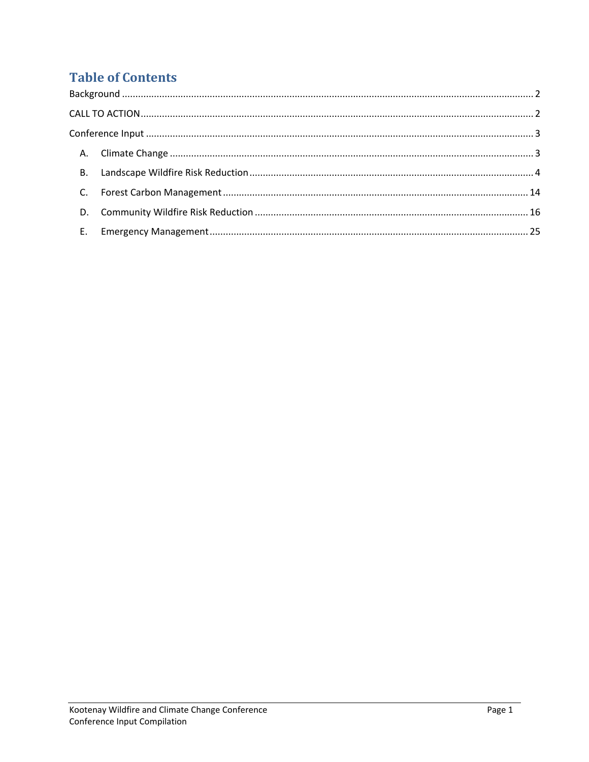# **Table of Contents**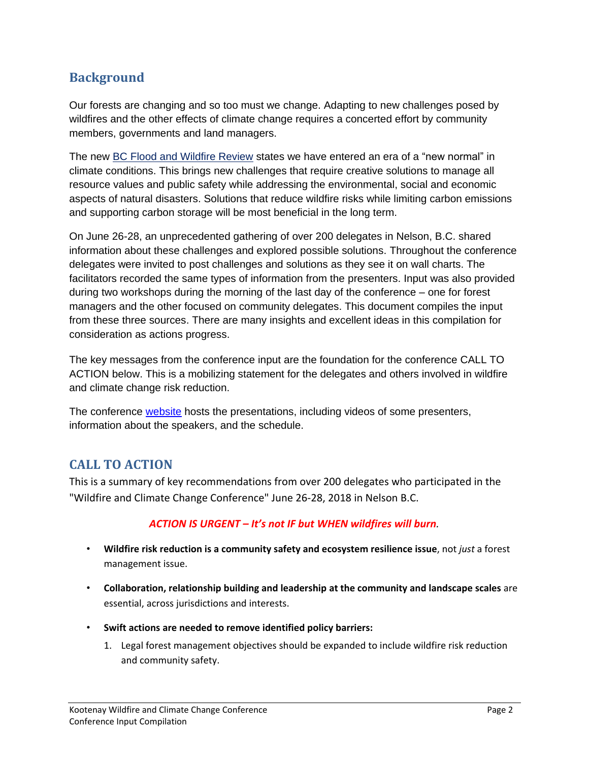# <span id="page-2-0"></span>**Background**

Our forests are changing and so too must we change. Adapting to new challenges posed by wildfires and the other effects of climate change requires a concerted effort by community members, governments and land managers.

The new [BC Flood and Wildfire Review](https://bcfloodfirereview.ca/wp-content/uploads/2018/05/BC-Flood-and-Wildfire-Review-Addressing-the-New-Normal-21st-Century-Disaster-Management-in-BC-Web.pdf) states we have entered an era of a "new normal" in climate conditions. This brings new challenges that require creative solutions to manage all resource values and public safety while addressing the environmental, social and economic aspects of natural disasters. Solutions that reduce wildfire risks while limiting carbon emissions and supporting carbon storage will be most beneficial in the long term.

On June 26-28, an unprecedented gathering of over 200 delegates in Nelson, B.C. shared information about these challenges and explored possible solutions. Throughout the conference delegates were invited to post challenges and solutions as they see it on wall charts. The facilitators recorded the same types of information from the presenters. Input was also provided during two workshops during the morning of the last day of the conference – one for forest managers and the other focused on community delegates. This document compiles the input from these three sources. There are many insights and excellent ideas in this compilation for consideration as actions progress.

The key messages from the conference input are the foundation for the conference CALL TO ACTION below. This is a mobilizing statement for the delegates and others involved in wildfire and climate change risk reduction.

The conference [website](https://www.kootenaywildfire.ca/) hosts the presentations, including videos of some presenters, information about the speakers, and the schedule.

# <span id="page-2-1"></span>**CALL TO ACTION**

This is a summary of key recommendations from over 200 delegates who participated in the "Wildfire and Climate Change Conference" June 26-28, 2018 in Nelson B.C.

#### *ACTION IS URGENT – It's not IF but WHEN wildfires will burn.*

- **Wildfire risk reduction is a community safety and ecosystem resilience issue**, not *just* a forest management issue.
- **Collaboration, relationship building and leadership at the community and landscape scales** are essential, across jurisdictions and interests.
- **Swift actions are needed to remove identified policy barriers:**
	- 1. Legal forest management objectives should be expanded to include wildfire risk reduction and community safety.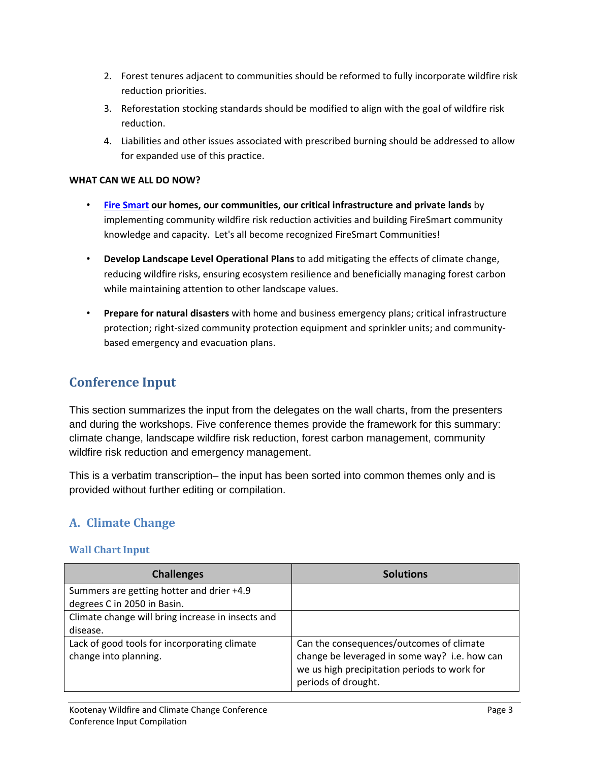- 2. Forest tenures adjacent to communities should be reformed to fully incorporate wildfire risk reduction priorities.
- 3. Reforestation stocking standards should be modified to align with the goal of wildfire risk reduction.
- 4. Liabilities and other issues associated with prescribed burning should be addressed to allow for expanded use of this practice.

#### **WHAT CAN WE ALL DO NOW?**

- **[Fire Smart](https://www2.gov.bc.ca/gov/content/safety/wildfire-status/prevention/for-your-home-community) our homes, our communities, our critical infrastructure and private lands** by implementing community wildfire risk reduction activities and building FireSmart community knowledge and capacity. Let's all become recognized FireSmart Communities!
- **Develop Landscape Level Operational Plans** to add mitigating the effects of climate change, reducing wildfire risks, ensuring ecosystem resilience and beneficially managing forest carbon while maintaining attention to other landscape values.
- **Prepare for natural disasters** with home and business emergency plans; critical infrastructure protection; right-sized community protection equipment and sprinkler units; and communitybased emergency and evacuation plans.

## <span id="page-3-0"></span>**Conference Input**

This section summarizes the input from the delegates on the wall charts, from the presenters and during the workshops. Five conference themes provide the framework for this summary: climate change, landscape wildfire risk reduction, forest carbon management, community wildfire risk reduction and emergency management.

This is a verbatim transcription– the input has been sorted into common themes only and is provided without further editing or compilation.

## <span id="page-3-1"></span>**A. Climate Change**

#### **Wall Chart Input**

| <b>Challenges</b>                                                     | <b>Solutions</b>                                                                                                                                                 |
|-----------------------------------------------------------------------|------------------------------------------------------------------------------------------------------------------------------------------------------------------|
| Summers are getting hotter and drier +4.9                             |                                                                                                                                                                  |
| degrees C in 2050 in Basin.                                           |                                                                                                                                                                  |
| Climate change will bring increase in insects and                     |                                                                                                                                                                  |
| disease.                                                              |                                                                                                                                                                  |
| Lack of good tools for incorporating climate<br>change into planning. | Can the consequences/outcomes of climate<br>change be leveraged in some way? i.e. how can<br>we us high precipitation periods to work for<br>periods of drought. |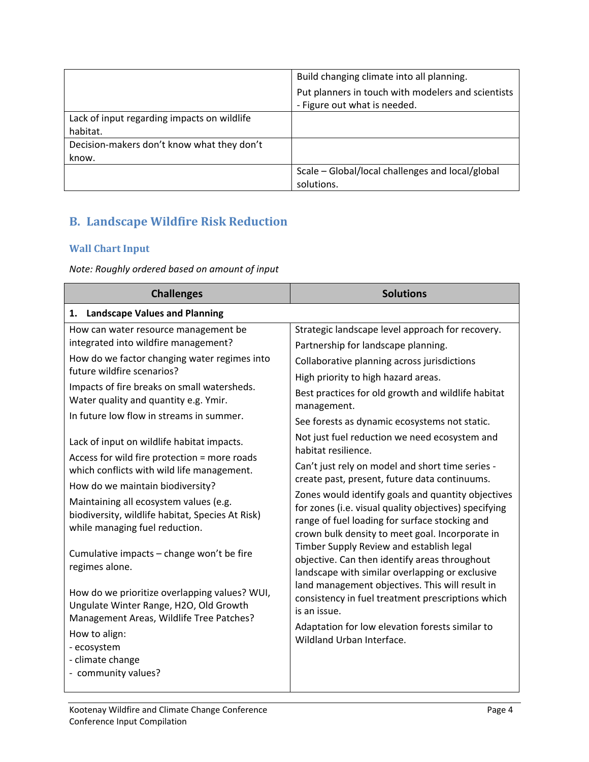|                                             | Build changing climate into all planning.          |
|---------------------------------------------|----------------------------------------------------|
|                                             | Put planners in touch with modelers and scientists |
|                                             | - Figure out what is needed.                       |
| Lack of input regarding impacts on wildlife |                                                    |
| habitat.                                    |                                                    |
| Decision-makers don't know what they don't  |                                                    |
| know.                                       |                                                    |
|                                             | Scale – Global/local challenges and local/global   |
|                                             | solutions.                                         |

# <span id="page-4-0"></span>**B. Landscape Wildfire Risk Reduction**

#### **Wall Chart Input**

*Note: Roughly ordered based on amount of input*

| <b>Challenges</b>                                                                                                                   | <b>Solutions</b>                                                                                                                                           |
|-------------------------------------------------------------------------------------------------------------------------------------|------------------------------------------------------------------------------------------------------------------------------------------------------------|
| 1. Landscape Values and Planning                                                                                                    |                                                                                                                                                            |
| How can water resource management be                                                                                                | Strategic landscape level approach for recovery.                                                                                                           |
| integrated into wildfire management?                                                                                                | Partnership for landscape planning.                                                                                                                        |
| How do we factor changing water regimes into                                                                                        | Collaborative planning across jurisdictions                                                                                                                |
| future wildfire scenarios?                                                                                                          | High priority to high hazard areas.                                                                                                                        |
| Impacts of fire breaks on small watersheds.<br>Water quality and quantity e.g. Ymir.                                                | Best practices for old growth and wildlife habitat<br>management.                                                                                          |
| In future low flow in streams in summer.                                                                                            | See forests as dynamic ecosystems not static.                                                                                                              |
| Lack of input on wildlife habitat impacts.                                                                                          | Not just fuel reduction we need ecosystem and<br>habitat resilience.                                                                                       |
| Access for wild fire protection = more roads<br>which conflicts with wild life management.                                          | Can't just rely on model and short time series -<br>create past, present, future data continuums.                                                          |
| How do we maintain biodiversity?                                                                                                    | Zones would identify goals and quantity objectives                                                                                                         |
| Maintaining all ecosystem values (e.g.<br>biodiversity, wildlife habitat, Species At Risk)<br>while managing fuel reduction.        | for zones (i.e. visual quality objectives) specifying<br>range of fuel loading for surface stocking and<br>crown bulk density to meet goal. Incorporate in |
| Cumulative impacts - change won't be fire<br>regimes alone.                                                                         | Timber Supply Review and establish legal<br>objective. Can then identify areas throughout<br>landscape with similar overlapping or exclusive               |
| How do we prioritize overlapping values? WUI,<br>Ungulate Winter Range, H2O, Old Growth<br>Management Areas, Wildlife Tree Patches? | land management objectives. This will result in<br>consistency in fuel treatment prescriptions which<br>is an issue.                                       |
| How to align:                                                                                                                       | Adaptation for low elevation forests similar to                                                                                                            |
| - ecosystem                                                                                                                         | Wildland Urban Interface.                                                                                                                                  |
| - climate change                                                                                                                    |                                                                                                                                                            |
| - community values?                                                                                                                 |                                                                                                                                                            |
|                                                                                                                                     |                                                                                                                                                            |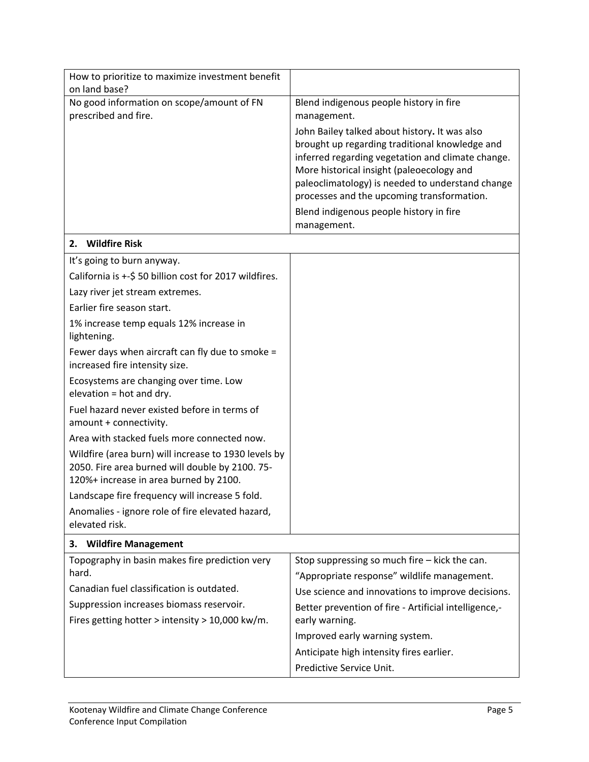| How to prioritize to maximize investment benefit<br>on land base?                                                                                 |                                                                                                                                                                                                                                                                                                     |
|---------------------------------------------------------------------------------------------------------------------------------------------------|-----------------------------------------------------------------------------------------------------------------------------------------------------------------------------------------------------------------------------------------------------------------------------------------------------|
| No good information on scope/amount of FN                                                                                                         | Blend indigenous people history in fire                                                                                                                                                                                                                                                             |
| prescribed and fire.                                                                                                                              | management.                                                                                                                                                                                                                                                                                         |
|                                                                                                                                                   | John Bailey talked about history. It was also<br>brought up regarding traditional knowledge and<br>inferred regarding vegetation and climate change.<br>More historical insight (paleoecology and<br>paleoclimatology) is needed to understand change<br>processes and the upcoming transformation. |
|                                                                                                                                                   | Blend indigenous people history in fire<br>management.                                                                                                                                                                                                                                              |
| 2. Wildfire Risk                                                                                                                                  |                                                                                                                                                                                                                                                                                                     |
| It's going to burn anyway.                                                                                                                        |                                                                                                                                                                                                                                                                                                     |
| California is +-\$ 50 billion cost for 2017 wildfires.                                                                                            |                                                                                                                                                                                                                                                                                                     |
| Lazy river jet stream extremes.                                                                                                                   |                                                                                                                                                                                                                                                                                                     |
| Earlier fire season start.                                                                                                                        |                                                                                                                                                                                                                                                                                                     |
| 1% increase temp equals 12% increase in<br>lightening.                                                                                            |                                                                                                                                                                                                                                                                                                     |
| Fewer days when aircraft can fly due to smoke =<br>increased fire intensity size.                                                                 |                                                                                                                                                                                                                                                                                                     |
| Ecosystems are changing over time. Low<br>elevation = hot and dry.                                                                                |                                                                                                                                                                                                                                                                                                     |
| Fuel hazard never existed before in terms of<br>amount + connectivity.                                                                            |                                                                                                                                                                                                                                                                                                     |
| Area with stacked fuels more connected now.                                                                                                       |                                                                                                                                                                                                                                                                                                     |
| Wildfire (area burn) will increase to 1930 levels by<br>2050. Fire area burned will double by 2100. 75-<br>120%+ increase in area burned by 2100. |                                                                                                                                                                                                                                                                                                     |
| Landscape fire frequency will increase 5 fold.                                                                                                    |                                                                                                                                                                                                                                                                                                     |
| Anomalies - ignore role of fire elevated hazard,<br>elevated risk.                                                                                |                                                                                                                                                                                                                                                                                                     |
| <b>Wildfire Management</b><br>з.                                                                                                                  |                                                                                                                                                                                                                                                                                                     |
| Topography in basin makes fire prediction very                                                                                                    | Stop suppressing so much fire $-$ kick the can.                                                                                                                                                                                                                                                     |
| hard.                                                                                                                                             | "Appropriate response" wildlife management.                                                                                                                                                                                                                                                         |
| Canadian fuel classification is outdated.                                                                                                         | Use science and innovations to improve decisions.                                                                                                                                                                                                                                                   |
| Suppression increases biomass reservoir.                                                                                                          | Better prevention of fire - Artificial intelligence,-                                                                                                                                                                                                                                               |
| Fires getting hotter > intensity > 10,000 kw/m.                                                                                                   | early warning.                                                                                                                                                                                                                                                                                      |
|                                                                                                                                                   | Improved early warning system.                                                                                                                                                                                                                                                                      |
|                                                                                                                                                   | Anticipate high intensity fires earlier.                                                                                                                                                                                                                                                            |
|                                                                                                                                                   | Predictive Service Unit.                                                                                                                                                                                                                                                                            |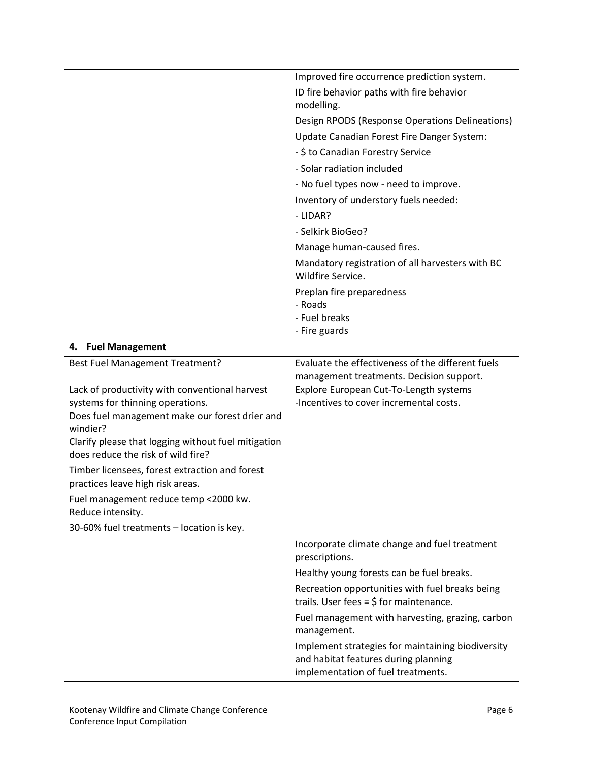|                 | Improved fire occurrence prediction system.      |
|-----------------|--------------------------------------------------|
|                 | ID fire behavior paths with fire behavior        |
|                 | modelling.                                       |
|                 | Design RPODS (Response Operations Delineations)  |
|                 | Update Canadian Forest Fire Danger System:       |
|                 | - \$ to Canadian Forestry Service                |
|                 | - Solar radiation included                       |
|                 | - No fuel types now - need to improve.           |
|                 | Inventory of understory fuels needed:            |
|                 | - LIDAR?                                         |
|                 | - Selkirk BioGeo?                                |
|                 | Manage human-caused fires.                       |
|                 | Mandatory registration of all harvesters with BC |
|                 | Wildfire Service.                                |
|                 | Preplan fire preparedness                        |
|                 | - Roads                                          |
|                 | - Fuel breaks                                    |
|                 | - Fire guards                                    |
| Eugl Managamant |                                                  |

| 4. Fuel Management                                                                        |                                                                                                                                 |
|-------------------------------------------------------------------------------------------|---------------------------------------------------------------------------------------------------------------------------------|
| Best Fuel Management Treatment?                                                           | Evaluate the effectiveness of the different fuels                                                                               |
|                                                                                           | management treatments. Decision support.                                                                                        |
| Lack of productivity with conventional harvest                                            | Explore European Cut-To-Length systems                                                                                          |
| systems for thinning operations.                                                          | -Incentives to cover incremental costs.                                                                                         |
| Does fuel management make our forest drier and<br>windier?                                |                                                                                                                                 |
| Clarify please that logging without fuel mitigation<br>does reduce the risk of wild fire? |                                                                                                                                 |
| Timber licensees, forest extraction and forest<br>practices leave high risk areas.        |                                                                                                                                 |
| Fuel management reduce temp <2000 kw.<br>Reduce intensity.                                |                                                                                                                                 |
| 30-60% fuel treatments - location is key.                                                 |                                                                                                                                 |
|                                                                                           | Incorporate climate change and fuel treatment                                                                                   |
|                                                                                           | prescriptions.                                                                                                                  |
|                                                                                           | Healthy young forests can be fuel breaks.                                                                                       |
|                                                                                           | Recreation opportunities with fuel breaks being<br>trails. User fees = $$$ for maintenance.                                     |
|                                                                                           | Fuel management with harvesting, grazing, carbon<br>management.                                                                 |
|                                                                                           | Implement strategies for maintaining biodiversity<br>and habitat features during planning<br>implementation of fuel treatments. |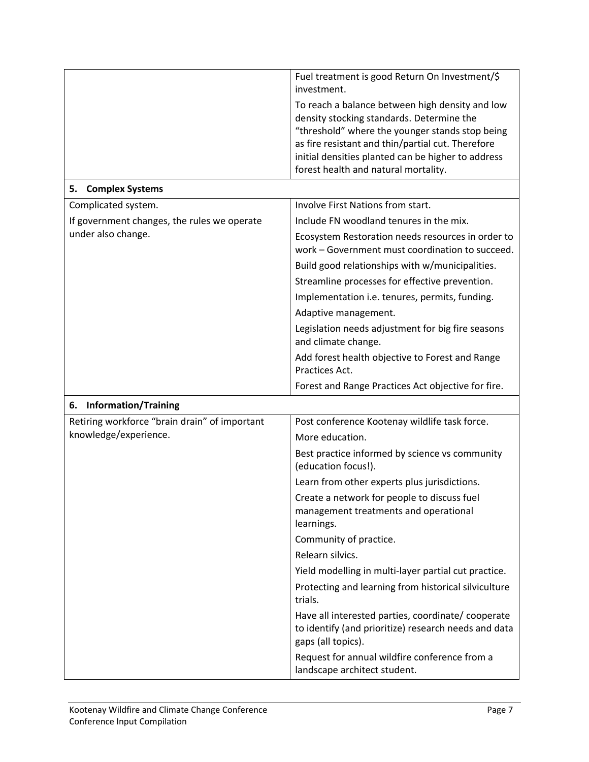|                                               | Fuel treatment is good Return On Investment/\$<br>investment.                                                                                                                                                                                                                                      |
|-----------------------------------------------|----------------------------------------------------------------------------------------------------------------------------------------------------------------------------------------------------------------------------------------------------------------------------------------------------|
|                                               | To reach a balance between high density and low<br>density stocking standards. Determine the<br>"threshold" where the younger stands stop being<br>as fire resistant and thin/partial cut. Therefore<br>initial densities planted can be higher to address<br>forest health and natural mortality. |
| <b>Complex Systems</b><br>5.                  |                                                                                                                                                                                                                                                                                                    |
| Complicated system.                           | Involve First Nations from start.                                                                                                                                                                                                                                                                  |
| If government changes, the rules we operate   | Include FN woodland tenures in the mix.                                                                                                                                                                                                                                                            |
| under also change.                            | Ecosystem Restoration needs resources in order to<br>work - Government must coordination to succeed.                                                                                                                                                                                               |
|                                               | Build good relationships with w/municipalities.                                                                                                                                                                                                                                                    |
|                                               | Streamline processes for effective prevention.                                                                                                                                                                                                                                                     |
|                                               | Implementation i.e. tenures, permits, funding.                                                                                                                                                                                                                                                     |
|                                               | Adaptive management.                                                                                                                                                                                                                                                                               |
|                                               | Legislation needs adjustment for big fire seasons<br>and climate change.                                                                                                                                                                                                                           |
|                                               | Add forest health objective to Forest and Range<br>Practices Act.                                                                                                                                                                                                                                  |
|                                               | Forest and Range Practices Act objective for fire.                                                                                                                                                                                                                                                 |
| <b>Information/Training</b><br>6.             |                                                                                                                                                                                                                                                                                                    |
| Retiring workforce "brain drain" of important | Post conference Kootenay wildlife task force.                                                                                                                                                                                                                                                      |
| knowledge/experience.                         | More education.                                                                                                                                                                                                                                                                                    |
|                                               | Best practice informed by science vs community<br>(education focus!).                                                                                                                                                                                                                              |
|                                               | Learn from other experts plus jurisdictions.                                                                                                                                                                                                                                                       |
|                                               | Create a network for people to discuss fuel<br>management treatments and operational<br>learnings.                                                                                                                                                                                                 |
|                                               | Community of practice.                                                                                                                                                                                                                                                                             |
|                                               | Relearn silvics.                                                                                                                                                                                                                                                                                   |
|                                               | Yield modelling in multi-layer partial cut practice.                                                                                                                                                                                                                                               |
|                                               | Protecting and learning from historical silviculture<br>trials.                                                                                                                                                                                                                                    |
|                                               | Have all interested parties, coordinate/ cooperate<br>to identify (and prioritize) research needs and data<br>gaps (all topics).                                                                                                                                                                   |
|                                               | Request for annual wildfire conference from a<br>landscape architect student.                                                                                                                                                                                                                      |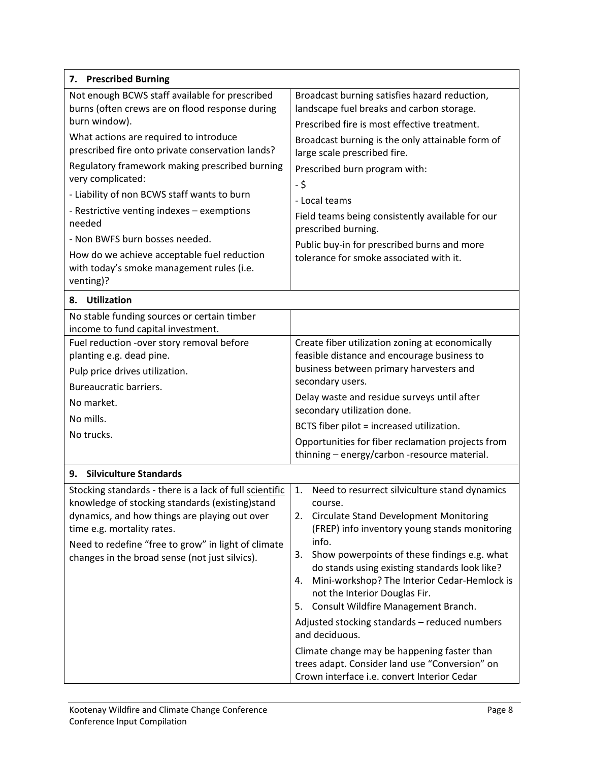| 7. Prescribed Burning                                                                                                                                                                                                                                                                                                                                                                                                                                                                                                                     |                                                                                                                                                                                                                                                                                                                                                                                                                                                                                                                                                                                                |  |  |
|-------------------------------------------------------------------------------------------------------------------------------------------------------------------------------------------------------------------------------------------------------------------------------------------------------------------------------------------------------------------------------------------------------------------------------------------------------------------------------------------------------------------------------------------|------------------------------------------------------------------------------------------------------------------------------------------------------------------------------------------------------------------------------------------------------------------------------------------------------------------------------------------------------------------------------------------------------------------------------------------------------------------------------------------------------------------------------------------------------------------------------------------------|--|--|
| Not enough BCWS staff available for prescribed<br>burns (often crews are on flood response during<br>burn window).<br>What actions are required to introduce<br>prescribed fire onto private conservation lands?<br>Regulatory framework making prescribed burning<br>very complicated:<br>- Liability of non BCWS staff wants to burn<br>- Restrictive venting indexes - exemptions<br>needed<br>- Non BWFS burn bosses needed.<br>How do we achieve acceptable fuel reduction<br>with today's smoke management rules (i.e.<br>venting)? | Broadcast burning satisfies hazard reduction,<br>landscape fuel breaks and carbon storage.<br>Prescribed fire is most effective treatment.<br>Broadcast burning is the only attainable form of<br>large scale prescribed fire.<br>Prescribed burn program with:<br>- \$<br>- Local teams<br>Field teams being consistently available for our<br>prescribed burning.<br>Public buy-in for prescribed burns and more<br>tolerance for smoke associated with it.                                                                                                                                  |  |  |
| <b>Utilization</b><br>8.                                                                                                                                                                                                                                                                                                                                                                                                                                                                                                                  |                                                                                                                                                                                                                                                                                                                                                                                                                                                                                                                                                                                                |  |  |
| No stable funding sources or certain timber<br>income to fund capital investment.<br>Fuel reduction -over story removal before<br>planting e.g. dead pine.<br>Pulp price drives utilization.<br>Bureaucratic barriers.<br>No market.<br>No mills.<br>No trucks.                                                                                                                                                                                                                                                                           | Create fiber utilization zoning at economically<br>feasible distance and encourage business to<br>business between primary harvesters and<br>secondary users.<br>Delay waste and residue surveys until after<br>secondary utilization done.<br>BCTS fiber pilot = increased utilization.<br>Opportunities for fiber reclamation projects from<br>thinning - energy/carbon -resource material.                                                                                                                                                                                                  |  |  |
| <b>Silviculture Standards</b><br>9.                                                                                                                                                                                                                                                                                                                                                                                                                                                                                                       |                                                                                                                                                                                                                                                                                                                                                                                                                                                                                                                                                                                                |  |  |
| Stocking standards - there is a lack of full scientific<br>knowledge of stocking standards (existing)stand<br>dynamics, and how things are playing out over<br>time e.g. mortality rates.<br>Need to redefine "free to grow" in light of climate<br>changes in the broad sense (not just silvics).                                                                                                                                                                                                                                        | Need to resurrect silviculture stand dynamics<br>1.<br>course.<br><b>Circulate Stand Development Monitoring</b><br>2.<br>(FREP) info inventory young stands monitoring<br>info.<br>Show powerpoints of these findings e.g. what<br>3.<br>do stands using existing standards look like?<br>Mini-workshop? The Interior Cedar-Hemlock is<br>4.<br>not the Interior Douglas Fir.<br>Consult Wildfire Management Branch.<br>5.<br>Adjusted stocking standards - reduced numbers<br>and deciduous.<br>Climate change may be happening faster than<br>trees adapt. Consider land use "Conversion" on |  |  |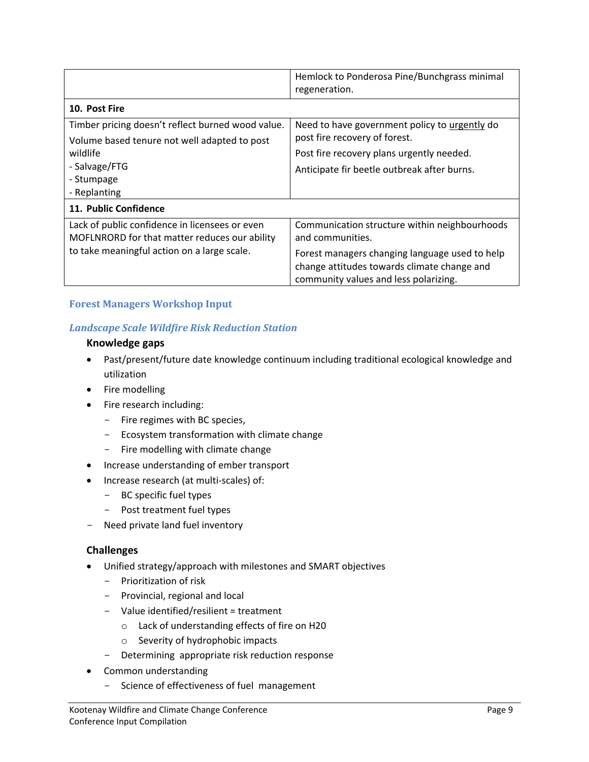|                                                   | Hemlock to Ponderosa Pine/Bunchgrass minimal<br>regeneration. |  |
|---------------------------------------------------|---------------------------------------------------------------|--|
| 10. Post Fire                                     |                                                               |  |
| Timber pricing doesn't reflect burned wood value. | Need to have government policy to urgently do                 |  |
| Volume based tenure not well adapted to post      | post fire recovery of forest.                                 |  |
| wildlife                                          | Post fire recovery plans urgently needed.                     |  |
| - Salvage/FTG                                     | Anticipate fir beetle outbreak after burns.                   |  |
| - Stumpage                                        |                                                               |  |
| - Replanting                                      |                                                               |  |
| 11. Public Confidence                             |                                                               |  |
| Lack of public confidence in licensees or even    | Communication structure within neighbourhoods                 |  |
| MOFLNRORD for that matter reduces our ability     | and communities.                                              |  |
| to take meaningful action on a large scale.       | Forest managers changing language used to help                |  |
|                                                   | change attitudes towards climate change and                   |  |
|                                                   | community values and less polarizing.                         |  |

#### **Forest Managers Workshop Input**

#### *Landscape Scale Wildfire Risk Reduction Station*

#### **Knowledge gaps**

- Past/present/future date knowledge continuum including traditional ecological knowledge and utilization
- Fire modelling
- Fire research including:
	- Fire regimes with BC species,
	- Ecosystem transformation with climate change
	- Fire modelling with climate change
- Increase understanding of ember transport
- Increase research (at multi-scales) of:
	- BC specific fuel types
	- Post treatment fuel types
- Need private land fuel inventory

#### **Challenges**

- Unified strategy/approach with milestones and SMART objectives
	- Prioritization of risk
	- Provincial, regional and local
	- Value identified/resilient = treatment
		- o Lack of understanding effects of fire on H20
		- o Severity of hydrophobic impacts
	- Determining appropriate risk reduction response
- Common understanding
	- Science of effectiveness of fuel management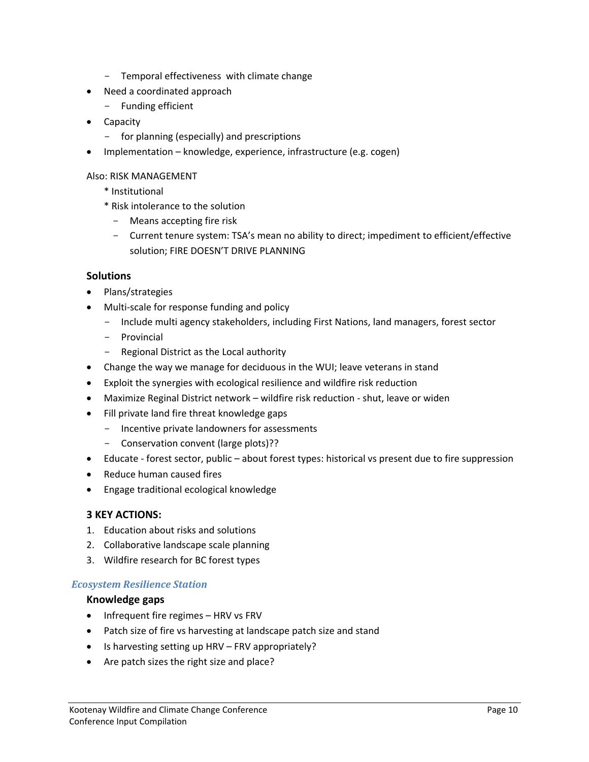- Temporal effectiveness with climate change
- Need a coordinated approach
	- Funding efficient
- Capacity
	- for planning (especially) and prescriptions
- Implementation knowledge, experience, infrastructure (e.g. cogen)

#### Also: RISK MANAGEMENT

- \* Institutional
- \* Risk intolerance to the solution
	- Means accepting fire risk
	- Current tenure system: TSA's mean no ability to direct; impediment to efficient/effective solution; FIRE DOESN'T DRIVE PLANNING

#### **Solutions**

- Plans/strategies
- Multi-scale for response funding and policy
	- Include multi agency stakeholders, including First Nations, land managers, forest sector
	- Provincial
	- Regional District as the Local authority
- Change the way we manage for deciduous in the WUI; leave veterans in stand
- Exploit the synergies with ecological resilience and wildfire risk reduction
- Maximize Reginal District network wildfire risk reduction shut, leave or widen
- Fill private land fire threat knowledge gaps
	- Incentive private landowners for assessments
	- Conservation convent (large plots)??
- Educate forest sector, public about forest types: historical vs present due to fire suppression
- Reduce human caused fires
- Engage traditional ecological knowledge

#### **3 KEY ACTIONS:**

- 1. Education about risks and solutions
- 2. Collaborative landscape scale planning
- 3. Wildfire research for BC forest types

#### *Ecosystem Resilience Station*

#### **Knowledge gaps**

- Infrequent fire regimes HRV vs FRV
- Patch size of fire vs harvesting at landscape patch size and stand
- Is harvesting setting up HRV FRV appropriately?
- Are patch sizes the right size and place?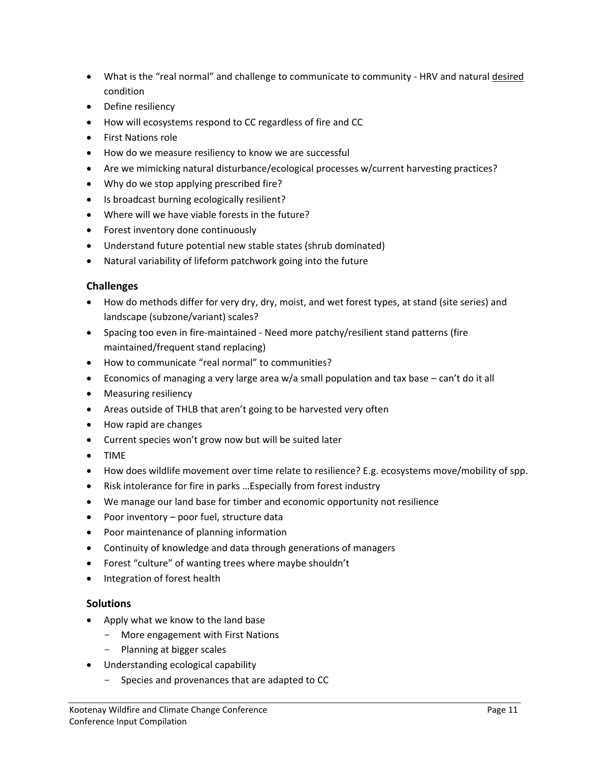- What is the "real normal" and challenge to communicate to community HRV and natural desired condition
- Define resiliency
- How will ecosystems respond to CC regardless of fire and CC
- First Nations role
- How do we measure resiliency to know we are successful
- Are we mimicking natural disturbance/ecological processes w/current harvesting practices?
- Why do we stop applying prescribed fire?
- Is broadcast burning ecologically resilient?
- Where will we have viable forests in the future?
- Forest inventory done continuously
- Understand future potential new stable states (shrub dominated)
- Natural variability of lifeform patchwork going into the future

#### **Challenges**

- How do methods differ for very dry, dry, moist, and wet forest types, at stand (site series) and landscape (subzone/variant) scales?
- Spacing too even in fire-maintained Need more patchy/resilient stand patterns (fire maintained/frequent stand replacing)
- How to communicate "real normal" to communities?
- Economics of managing a very large area w/a small population and tax base can't do it all
- Measuring resiliency
- Areas outside of THLB that aren't going to be harvested very often
- How rapid are changes
- Current species won't grow now but will be suited later
- TIME
- How does wildlife movement over time relate to resilience? E.g. ecosystems move/mobility of spp.
- Risk intolerance for fire in parks …Especially from forest industry
- We manage our land base for timber and economic opportunity not resilience
- Poor inventory poor fuel, structure data
- Poor maintenance of planning information
- Continuity of knowledge and data through generations of managers
- Forest "culture" of wanting trees where maybe shouldn't
- Integration of forest health

#### **Solutions**

- Apply what we know to the land base
	- More engagement with First Nations
	- Planning at bigger scales
- Understanding ecological capability
	- Species and provenances that are adapted to CC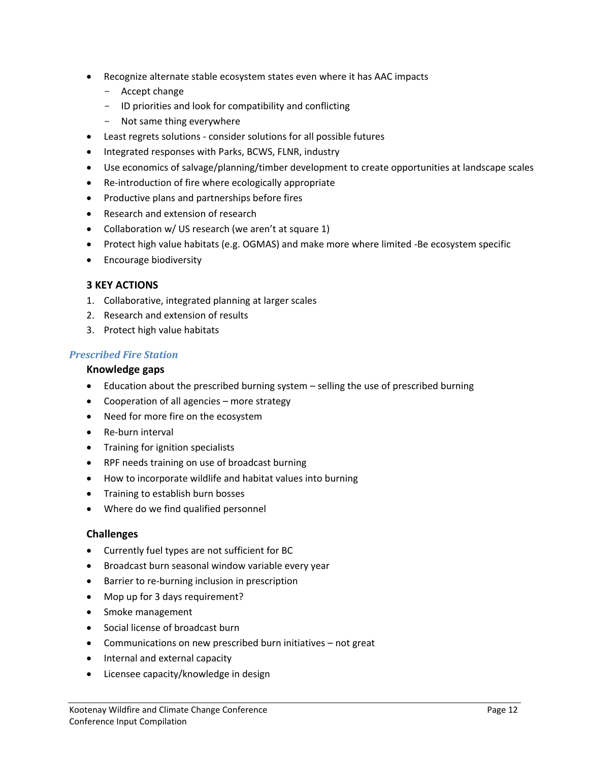- Recognize alternate stable ecosystem states even where it has AAC impacts
	- Accept change
	- ID priorities and look for compatibility and conflicting
	- Not same thing everywhere
- Least regrets solutions consider solutions for all possible futures
- Integrated responses with Parks, BCWS, FLNR, industry
- Use economics of salvage/planning/timber development to create opportunities at landscape scales
- Re-introduction of fire where ecologically appropriate
- Productive plans and partnerships before fires
- Research and extension of research
- Collaboration w/ US research (we aren't at square 1)
- Protect high value habitats (e.g. OGMAS) and make more where limited -Be ecosystem specific
- **•** Encourage biodiversity

#### **3 KEY ACTIONS**

- 1. Collaborative, integrated planning at larger scales
- 2. Research and extension of results
- 3. Protect high value habitats

#### *Prescribed Fire Station*

#### **Knowledge gaps**

- Education about the prescribed burning system selling the use of prescribed burning
- Cooperation of all agencies more strategy
- Need for more fire on the ecosystem
- Re-burn interval
- Training for ignition specialists
- RPF needs training on use of broadcast burning
- How to incorporate wildlife and habitat values into burning
- Training to establish burn bosses
- Where do we find qualified personnel

#### **Challenges**

- Currently fuel types are not sufficient for BC
- Broadcast burn seasonal window variable every year
- Barrier to re-burning inclusion in prescription
- Mop up for 3 days requirement?
- Smoke management
- Social license of broadcast burn
- Communications on new prescribed burn initiatives not great
- Internal and external capacity
- Licensee capacity/knowledge in design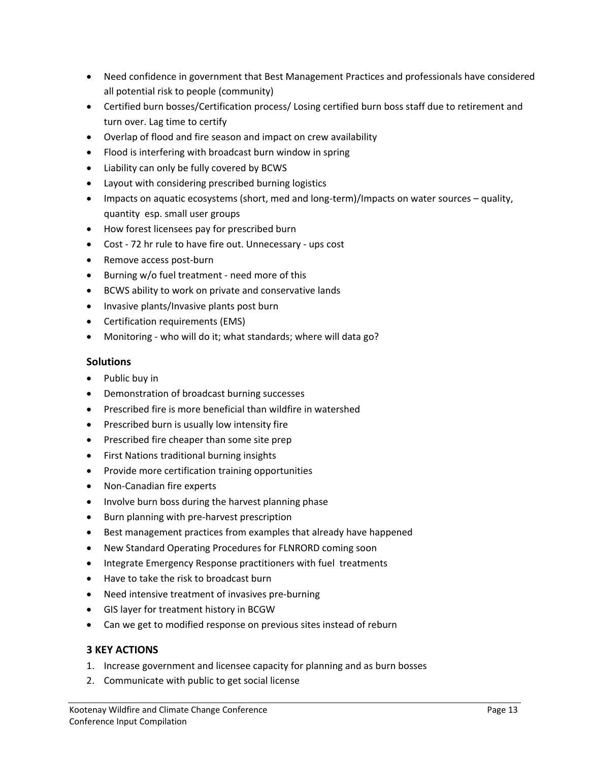- Need confidence in government that Best Management Practices and professionals have considered all potential risk to people (community)
- Certified burn bosses/Certification process/ Losing certified burn boss staff due to retirement and turn over. Lag time to certify
- Overlap of flood and fire season and impact on crew availability
- Flood is interfering with broadcast burn window in spring
- Liability can only be fully covered by BCWS
- Layout with considering prescribed burning logistics
- Impacts on aquatic ecosystems (short, med and long-term)/Impacts on water sources quality, quantity esp. small user groups
- How forest licensees pay for prescribed burn
- Cost 72 hr rule to have fire out. Unnecessary ups cost
- Remove access post-burn
- Burning w/o fuel treatment need more of this
- BCWS ability to work on private and conservative lands
- Invasive plants/Invasive plants post burn
- Certification requirements (EMS)
- Monitoring who will do it; what standards; where will data go?

#### **Solutions**

- Public buy in
- Demonstration of broadcast burning successes
- Prescribed fire is more beneficial than wildfire in watershed
- Prescribed burn is usually low intensity fire
- Prescribed fire cheaper than some site prep
- First Nations traditional burning insights
- Provide more certification training opportunities
- Non-Canadian fire experts
- Involve burn boss during the harvest planning phase
- Burn planning with pre-harvest prescription
- Best management practices from examples that already have happened
- New Standard Operating Procedures for FLNRORD coming soon
- Integrate Emergency Response practitioners with fuel treatments
- Have to take the risk to broadcast burn
- Need intensive treatment of invasives pre-burning
- GIS layer for treatment history in BCGW
- Can we get to modified response on previous sites instead of reburn

#### **3 KEY ACTIONS**

- 1. Increase government and licensee capacity for planning and as burn bosses
- 2. Communicate with public to get social license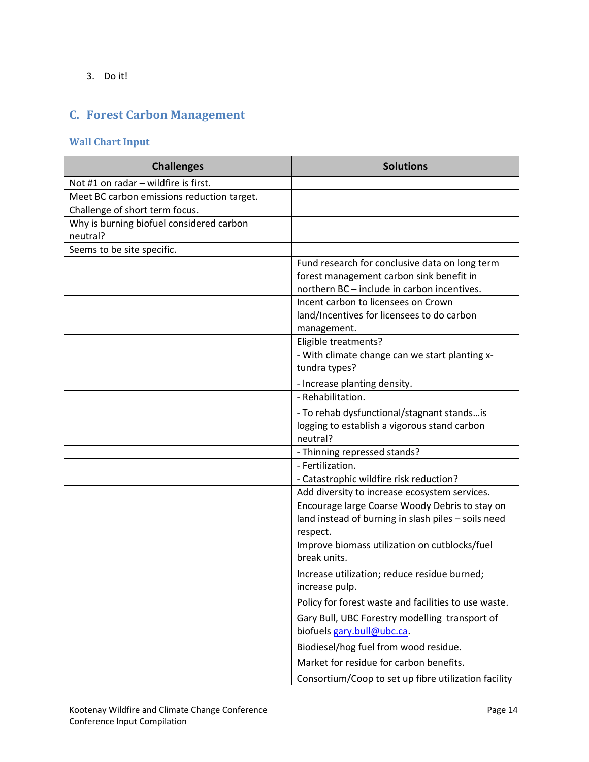3. Do it!

# <span id="page-14-0"></span>**C. Forest Carbon Management**

## **Wall Chart Input**

| <b>Challenges</b>                          | <b>Solutions</b>                                                                        |
|--------------------------------------------|-----------------------------------------------------------------------------------------|
| Not #1 on radar - wildfire is first.       |                                                                                         |
| Meet BC carbon emissions reduction target. |                                                                                         |
| Challenge of short term focus.             |                                                                                         |
| Why is burning biofuel considered carbon   |                                                                                         |
| neutral?                                   |                                                                                         |
| Seems to be site specific.                 |                                                                                         |
|                                            | Fund research for conclusive data on long term                                          |
|                                            | forest management carbon sink benefit in<br>northern BC - include in carbon incentives. |
|                                            | Incent carbon to licensees on Crown                                                     |
|                                            | land/Incentives for licensees to do carbon                                              |
|                                            | management.                                                                             |
|                                            | Eligible treatments?                                                                    |
|                                            | - With climate change can we start planting x-                                          |
|                                            | tundra types?                                                                           |
|                                            | - Increase planting density.                                                            |
|                                            | - Rehabilitation.                                                                       |
|                                            | - To rehab dysfunctional/stagnant standsis                                              |
|                                            | logging to establish a vigorous stand carbon                                            |
|                                            | neutral?                                                                                |
|                                            | - Thinning repressed stands?                                                            |
|                                            | - Fertilization.                                                                        |
|                                            | - Catastrophic wildfire risk reduction?                                                 |
|                                            | Add diversity to increase ecosystem services.                                           |
|                                            | Encourage large Coarse Woody Debris to stay on                                          |
|                                            | land instead of burning in slash piles - soils need                                     |
|                                            | respect.                                                                                |
|                                            | Improve biomass utilization on cutblocks/fuel                                           |
|                                            | break units.                                                                            |
|                                            | Increase utilization; reduce residue burned;                                            |
|                                            | increase pulp.                                                                          |
|                                            | Policy for forest waste and facilities to use waste.                                    |
|                                            | Gary Bull, UBC Forestry modelling transport of                                          |
|                                            | biofuels gary.bull@ubc.ca.                                                              |
|                                            | Biodiesel/hog fuel from wood residue.                                                   |
|                                            | Market for residue for carbon benefits.                                                 |
|                                            | Consortium/Coop to set up fibre utilization facility                                    |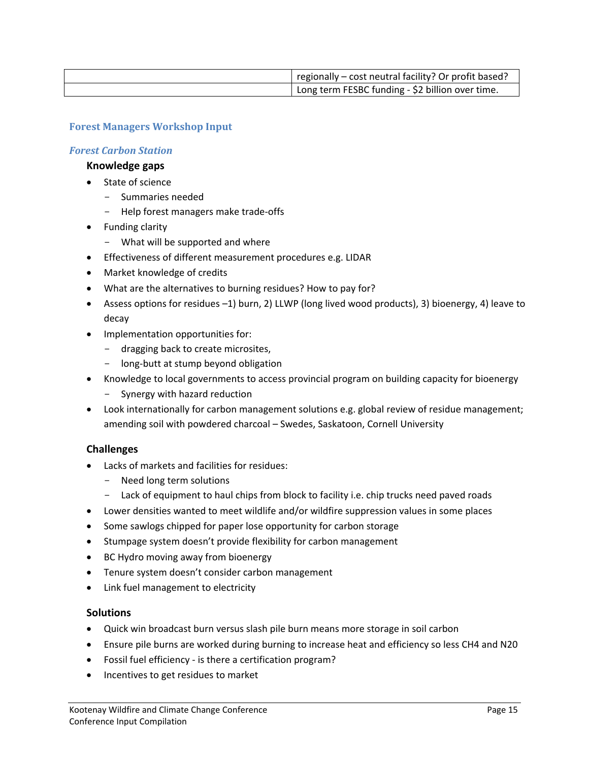| regionally – cost neutral facility? Or profit based? |
|------------------------------------------------------|
| Long term FESBC funding - \$2 billion over time.     |

#### **Forest Managers Workshop Input**

#### *Forest Carbon Station*

#### **Knowledge gaps**

- State of science
	- Summaries needed
	- Help forest managers make trade-offs
- Funding clarity
	- What will be supported and where
- Effectiveness of different measurement procedures e.g. LIDAR
- Market knowledge of credits
- What are the alternatives to burning residues? How to pay for?
- Assess options for residues –1) burn, 2) LLWP (long lived wood products), 3) bioenergy, 4) leave to decay
- Implementation opportunities for:
	- dragging back to create microsites,
	- long-butt at stump beyond obligation
- Knowledge to local governments to access provincial program on building capacity for bioenergy
	- Synergy with hazard reduction
- Look internationally for carbon management solutions e.g. global review of residue management; amending soil with powdered charcoal – Swedes, Saskatoon, Cornell University

#### **Challenges**

- Lacks of markets and facilities for residues:
	- Need long term solutions
	- Lack of equipment to haul chips from block to facility i.e. chip trucks need paved roads
- Lower densities wanted to meet wildlife and/or wildfire suppression values in some places
- Some sawlogs chipped for paper lose opportunity for carbon storage
- Stumpage system doesn't provide flexibility for carbon management
- BC Hydro moving away from bioenergy
- Tenure system doesn't consider carbon management
- Link fuel management to electricity

#### **Solutions**

- Quick win broadcast burn versus slash pile burn means more storage in soil carbon
- Ensure pile burns are worked during burning to increase heat and efficiency so less CH4 and N20
- Fossil fuel efficiency is there a certification program?
- Incentives to get residues to market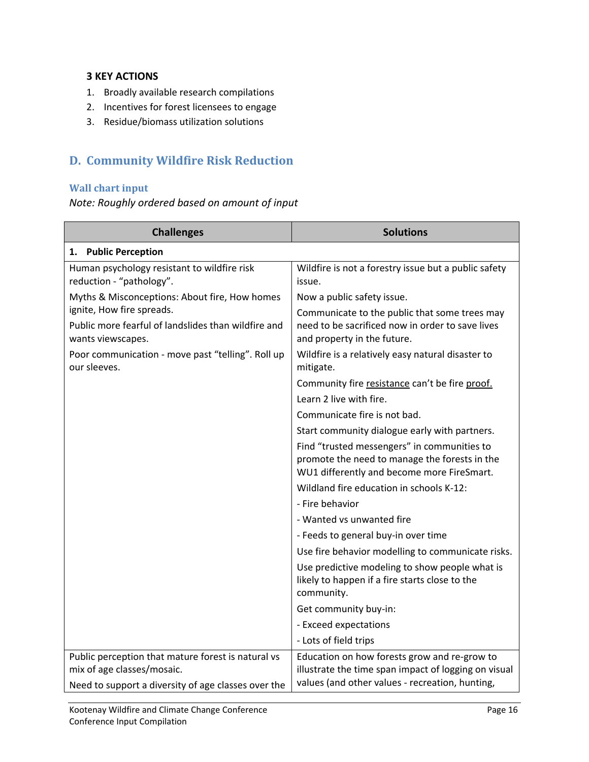#### **3 KEY ACTIONS**

- 1. Broadly available research compilations
- 2. Incentives for forest licensees to engage
- 3. Residue/biomass utilization solutions

# <span id="page-16-0"></span>**D. Community Wildfire Risk Reduction**

#### **Wall chart input**

*Note: Roughly ordered based on amount of input*

| <b>Challenges</b>                                                        | <b>Solutions</b>                                                                                                                           |
|--------------------------------------------------------------------------|--------------------------------------------------------------------------------------------------------------------------------------------|
| 1. Public Perception                                                     |                                                                                                                                            |
| Human psychology resistant to wildfire risk<br>reduction - "pathology".  | Wildfire is not a forestry issue but a public safety<br>issue.                                                                             |
| Myths & Misconceptions: About fire, How homes                            | Now a public safety issue.                                                                                                                 |
| ignite, How fire spreads.                                                | Communicate to the public that some trees may                                                                                              |
| Public more fearful of landslides than wildfire and<br>wants viewscapes. | need to be sacrificed now in order to save lives<br>and property in the future.                                                            |
| Poor communication - move past "telling". Roll up<br>our sleeves.        | Wildfire is a relatively easy natural disaster to<br>mitigate.                                                                             |
|                                                                          | Community fire resistance can't be fire proof.                                                                                             |
|                                                                          | Learn 2 live with fire.                                                                                                                    |
|                                                                          | Communicate fire is not bad.                                                                                                               |
|                                                                          | Start community dialogue early with partners.                                                                                              |
|                                                                          | Find "trusted messengers" in communities to<br>promote the need to manage the forests in the<br>WU1 differently and become more FireSmart. |
|                                                                          | Wildland fire education in schools K-12:                                                                                                   |
|                                                                          | - Fire behavior                                                                                                                            |
|                                                                          | - Wanted vs unwanted fire                                                                                                                  |
|                                                                          | - Feeds to general buy-in over time                                                                                                        |
|                                                                          | Use fire behavior modelling to communicate risks.                                                                                          |
|                                                                          | Use predictive modeling to show people what is<br>likely to happen if a fire starts close to the<br>community.                             |
|                                                                          | Get community buy-in:                                                                                                                      |
|                                                                          | - Exceed expectations                                                                                                                      |
|                                                                          | - Lots of field trips                                                                                                                      |
| Public perception that mature forest is natural vs                       | Education on how forests grow and re-grow to                                                                                               |
| mix of age classes/mosaic.                                               | illustrate the time span impact of logging on visual                                                                                       |
| Need to support a diversity of age classes over the                      | values (and other values - recreation, hunting,                                                                                            |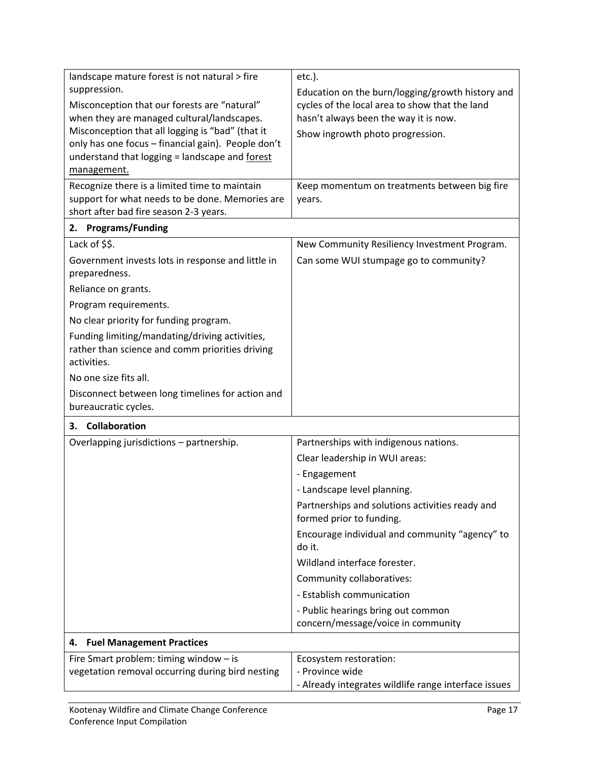| landscape mature forest is not natural > fire      | $etc.$ ).                                            |
|----------------------------------------------------|------------------------------------------------------|
| suppression.                                       | Education on the burn/logging/growth history and     |
| Misconception that our forests are "natural"       | cycles of the local area to show that the land       |
| when they are managed cultural/landscapes.         | hasn't always been the way it is now.                |
| Misconception that all logging is "bad" (that it   | Show ingrowth photo progression.                     |
| only has one focus - financial gain). People don't |                                                      |
| understand that logging = landscape and forest     |                                                      |
| management.                                        |                                                      |
| Recognize there is a limited time to maintain      | Keep momentum on treatments between big fire         |
| support for what needs to be done. Memories are    | years.                                               |
| short after bad fire season 2-3 years.             |                                                      |
| <b>Programs/Funding</b><br>2.                      |                                                      |
| Lack of \$\$.                                      | New Community Resiliency Investment Program.         |
| Government invests lots in response and little in  | Can some WUI stumpage go to community?               |
| preparedness.                                      |                                                      |
| Reliance on grants.                                |                                                      |
| Program requirements.                              |                                                      |
| No clear priority for funding program.             |                                                      |
| Funding limiting/mandating/driving activities,     |                                                      |
| rather than science and comm priorities driving    |                                                      |
| activities.                                        |                                                      |
| No one size fits all.                              |                                                      |
| Disconnect between long timelines for action and   |                                                      |
| bureaucratic cycles.                               |                                                      |
| <b>Collaboration</b><br>3.                         |                                                      |
| Overlapping jurisdictions - partnership.           | Partnerships with indigenous nations.                |
|                                                    | Clear leadership in WUI areas:                       |
|                                                    | - Engagement                                         |
|                                                    | - Landscape level planning.                          |
|                                                    | Partnerships and solutions activities ready and      |
|                                                    | formed prior to funding.                             |
|                                                    | Encourage individual and community "agency" to       |
|                                                    | do it.                                               |
|                                                    | Wildland interface forester.                         |
|                                                    | Community collaboratives:                            |
|                                                    | - Establish communication                            |
|                                                    | - Public hearings bring out common                   |
|                                                    | concern/message/voice in community                   |
| <b>Fuel Management Practices</b><br>4.             |                                                      |
| Fire Smart problem: timing window - is             | Ecosystem restoration:                               |
| vegetation removal occurring during bird nesting   | - Province wide                                      |
|                                                    | - Already integrates wildlife range interface issues |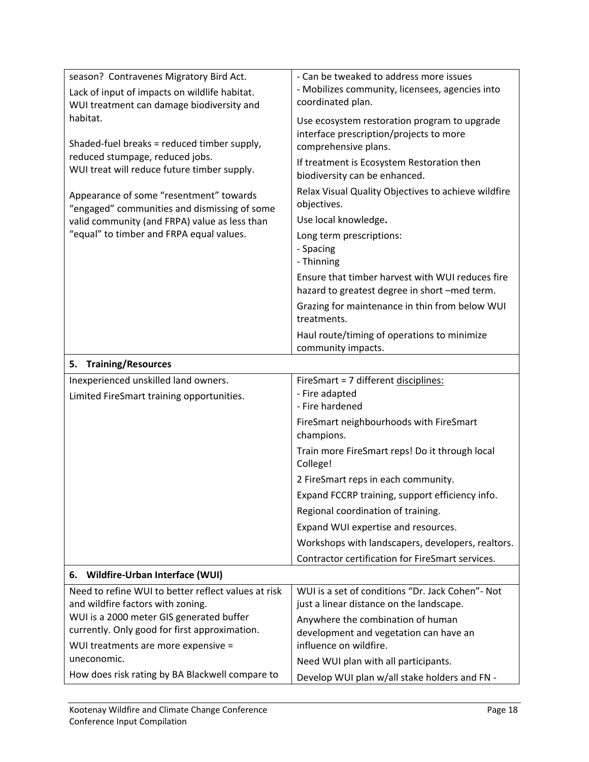| season? Contravenes Migratory Bird Act.                        | - Can be tweaked to address more issues             |
|----------------------------------------------------------------|-----------------------------------------------------|
| Lack of input of impacts on wildlife habitat.                  | - Mobilizes community, licensees, agencies into     |
| WUI treatment can damage biodiversity and                      | coordinated plan.                                   |
| habitat.                                                       | Use ecosystem restoration program to upgrade        |
|                                                                | interface prescription/projects to more             |
| Shaded-fuel breaks = reduced timber supply,                    | comprehensive plans.                                |
| reduced stumpage, reduced jobs.                                | If treatment is Ecosystem Restoration then          |
| WUI treat will reduce future timber supply.                    | biodiversity can be enhanced.                       |
| Appearance of some "resentment" towards                        | Relax Visual Quality Objectives to achieve wildfire |
| "engaged" communities and dismissing of some                   | objectives.                                         |
| valid community (and FRPA) value as less than                  | Use local knowledge.                                |
| "equal" to timber and FRPA equal values.                       | Long term prescriptions:                            |
|                                                                | - Spacing                                           |
|                                                                | - Thinning                                          |
|                                                                | Ensure that timber harvest with WUI reduces fire    |
|                                                                | hazard to greatest degree in short -med term.       |
|                                                                | Grazing for maintenance in thin from below WUI      |
|                                                                | treatments.                                         |
|                                                                | Haul route/timing of operations to minimize         |
|                                                                | community impacts.                                  |
| <b>Training/Resources</b><br>5.                                |                                                     |
| Inexperienced unskilled land owners.                           | FireSmart = 7 different disciplines:                |
| Limited FireSmart training opportunities.                      | - Fire adapted                                      |
|                                                                | - Fire hardened                                     |
|                                                                | FireSmart neighbourhoods with FireSmart             |
|                                                                | champions.                                          |
|                                                                | Train more FireSmart reps! Do it through local      |
|                                                                |                                                     |
|                                                                | College!                                            |
|                                                                | 2 FireSmart reps in each community.                 |
|                                                                | Expand FCCRP training, support efficiency info.     |
|                                                                | Regional coordination of training.                  |
|                                                                | Expand WUI expertise and resources.                 |
|                                                                | Workshops with landscapers, developers, realtors.   |
|                                                                | Contractor certification for FireSmart services.    |
| Wildfire-Urban Interface (WUI)<br>6.                           |                                                     |
| Need to refine WUI to better reflect values at risk            | WUI is a set of conditions "Dr. Jack Cohen" - Not   |
| and wildfire factors with zoning.                              | just a linear distance on the landscape.            |
| WUI is a 2000 meter GIS generated buffer                       | Anywhere the combination of human                   |
| currently. Only good for first approximation.                  | development and vegetation can have an              |
| WUI treatments are more expensive =                            | influence on wildfire.                              |
| uneconomic.<br>How does risk rating by BA Blackwell compare to | Need WUI plan with all participants.                |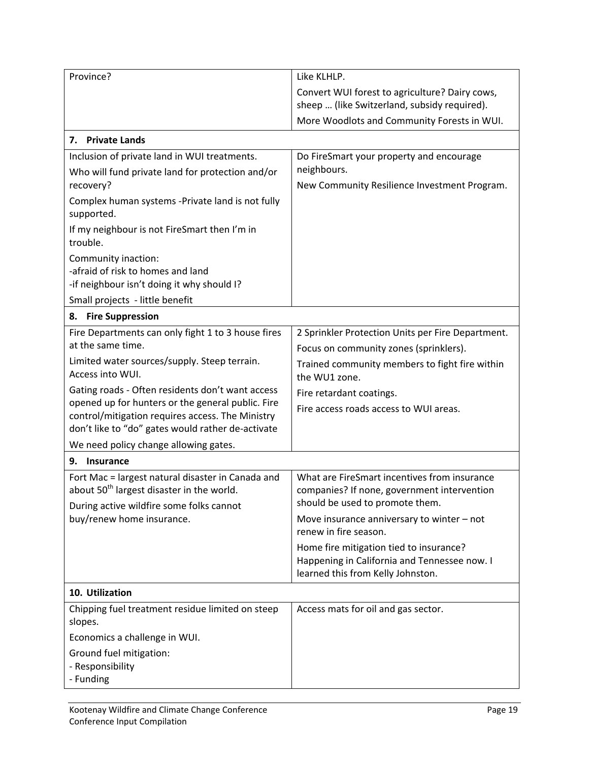| Province?                                                                                                                                                                                                      | Like KLHLP.                                                                                                                    |
|----------------------------------------------------------------------------------------------------------------------------------------------------------------------------------------------------------------|--------------------------------------------------------------------------------------------------------------------------------|
|                                                                                                                                                                                                                | Convert WUI forest to agriculture? Dairy cows,<br>sheep  (like Switzerland, subsidy required).                                 |
|                                                                                                                                                                                                                | More Woodlots and Community Forests in WUI.                                                                                    |
| 7. Private Lands                                                                                                                                                                                               |                                                                                                                                |
| Inclusion of private land in WUI treatments.<br>Who will fund private land for protection and/or                                                                                                               | Do FireSmart your property and encourage<br>neighbours.                                                                        |
| recovery?<br>Complex human systems -Private land is not fully<br>supported.                                                                                                                                    | New Community Resilience Investment Program.                                                                                   |
| If my neighbour is not FireSmart then I'm in<br>trouble.                                                                                                                                                       |                                                                                                                                |
| Community inaction:<br>-afraid of risk to homes and land<br>-if neighbour isn't doing it why should I?                                                                                                         |                                                                                                                                |
| Small projects - little benefit                                                                                                                                                                                |                                                                                                                                |
| <b>Fire Suppression</b><br>8.                                                                                                                                                                                  |                                                                                                                                |
| Fire Departments can only fight 1 to 3 house fires<br>at the same time.                                                                                                                                        | 2 Sprinkler Protection Units per Fire Department.<br>Focus on community zones (sprinklers).                                    |
| Limited water sources/supply. Steep terrain.<br>Access into WUI.                                                                                                                                               | Trained community members to fight fire within<br>the WU1 zone.                                                                |
| Gating roads - Often residents don't want access<br>opened up for hunters or the general public. Fire<br>control/mitigation requires access. The Ministry<br>don't like to "do" gates would rather de-activate | Fire retardant coatings.<br>Fire access roads access to WUI areas.                                                             |
| We need policy change allowing gates.                                                                                                                                                                          |                                                                                                                                |
| <b>Insurance</b><br>9.                                                                                                                                                                                         |                                                                                                                                |
| Fort Mac = largest natural disaster in Canada and<br>about 50 <sup>th</sup> largest disaster in the world.<br>During active wildfire some folks cannot                                                         | What are FireSmart incentives from insurance<br>companies? If none, government intervention<br>should be used to promote them. |
| buy/renew home insurance.                                                                                                                                                                                      | Move insurance anniversary to winter $-$ not<br>renew in fire season.                                                          |
|                                                                                                                                                                                                                | Home fire mitigation tied to insurance?<br>Happening in California and Tennessee now. I<br>learned this from Kelly Johnston.   |
| 10. Utilization                                                                                                                                                                                                |                                                                                                                                |
| Chipping fuel treatment residue limited on steep<br>slopes.                                                                                                                                                    | Access mats for oil and gas sector.                                                                                            |
| Economics a challenge in WUI.                                                                                                                                                                                  |                                                                                                                                |
| Ground fuel mitigation:<br>- Responsibility<br>- Funding                                                                                                                                                       |                                                                                                                                |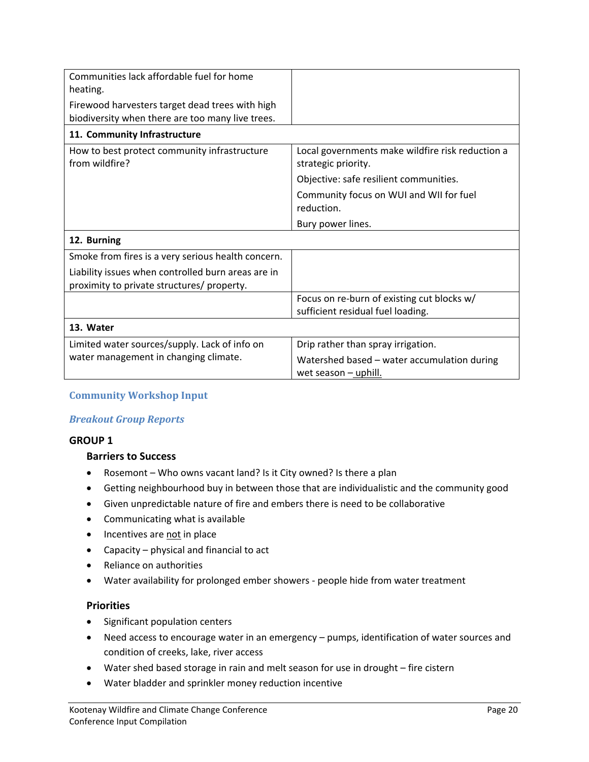| Communities lack affordable fuel for home<br>heating.                                               |                                                                         |
|-----------------------------------------------------------------------------------------------------|-------------------------------------------------------------------------|
| Firewood harvesters target dead trees with high<br>biodiversity when there are too many live trees. |                                                                         |
| 11. Community Infrastructure                                                                        |                                                                         |
| How to best protect community infrastructure<br>from wildfire?                                      | Local governments make wildfire risk reduction a<br>strategic priority. |
|                                                                                                     | Objective: safe resilient communities.                                  |
|                                                                                                     | Community focus on WUI and WII for fuel<br>reduction.                   |
|                                                                                                     | Bury power lines.                                                       |
| 12. Burning                                                                                         |                                                                         |
| Smoke from fires is a very serious health concern.                                                  |                                                                         |
| Liability issues when controlled burn areas are in<br>proximity to private structures/ property.    |                                                                         |
|                                                                                                     | Focus on re-burn of existing cut blocks w/                              |
|                                                                                                     | sufficient residual fuel loading.                                       |
| 13. Water                                                                                           |                                                                         |
| Limited water sources/supply. Lack of info on                                                       | Drip rather than spray irrigation.                                      |
| water management in changing climate.                                                               | Watershed based - water accumulation during<br>wet season $-$ uphill.   |

#### **Community Workshop Input**

#### *Breakout Group Reports*

#### **GROUP 1**

#### **Barriers to Success**

- Rosemont Who owns vacant land? Is it City owned? Is there a plan
- Getting neighbourhood buy in between those that are individualistic and the community good
- Given unpredictable nature of fire and embers there is need to be collaborative
- Communicating what is available
- Incentives are not in place
- Capacity physical and financial to act
- Reliance on authorities
- Water availability for prolonged ember showers people hide from water treatment

#### **Priorities**

- Significant population centers
- Need access to encourage water in an emergency pumps, identification of water sources and condition of creeks, lake, river access
- Water shed based storage in rain and melt season for use in drought fire cistern
- Water bladder and sprinkler money reduction incentive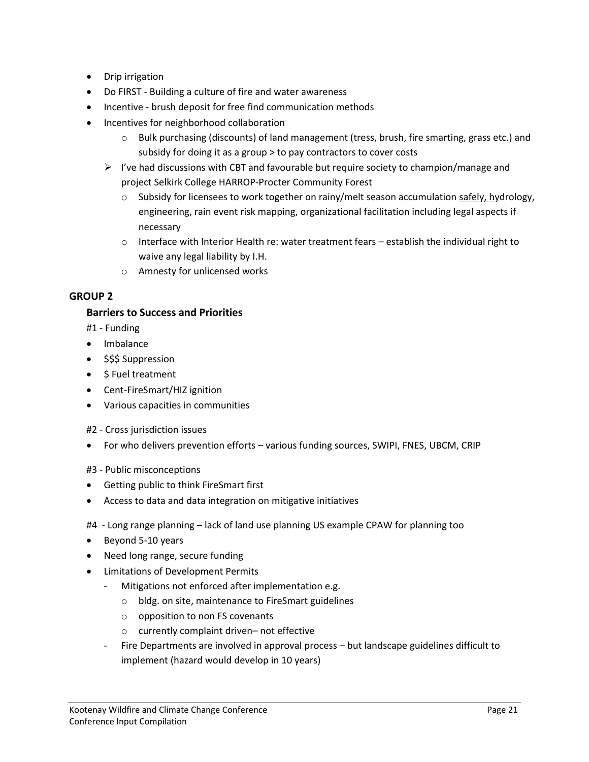- Drip irrigation
- Do FIRST Building a culture of fire and water awareness
- Incentive brush deposit for free find communication methods
- Incentives for neighborhood collaboration
	- o Bulk purchasing (discounts) of land management (tress, brush, fire smarting, grass etc.) and subsidy for doing it as a group > to pay contractors to cover costs
	- $\triangleright$  I've had discussions with CBT and favourable but require society to champion/manage and project Selkirk College HARROP-Procter Community Forest
		- $\circ$  Subsidy for licensees to work together on rainy/melt season accumulation safely, hydrology, engineering, rain event risk mapping, organizational facilitation including legal aspects if necessary
		- $\circ$  Interface with Interior Health re: water treatment fears establish the individual right to waive any legal liability by I.H.
		- o Amnesty for unlicensed works

#### **GROUP 2**

#### **Barriers to Success and Priorities**

- #1 Funding
- Imbalance
- \$\$\$ Suppression
- \$ Fuel treatment
- Cent-FireSmart/HIZ ignition
- Various capacities in communities
- #2 Cross jurisdiction issues
- For who delivers prevention efforts various funding sources, SWIPI, FNES, UBCM, CRIP
- #3 Public misconceptions
- Getting public to think FireSmart first
- Access to data and data integration on mitigative initiatives
- #4 Long range planning lack of land use planning US example CPAW for planning too
- Beyond 5-10 years
- Need long range, secure funding
- Limitations of Development Permits
	- Mitigations not enforced after implementation e.g.
		- o bldg. on site, maintenance to FireSmart guidelines
		- o opposition to non FS covenants
		- o currently complaint driven– not effective
	- Fire Departments are involved in approval process but landscape guidelines difficult to implement (hazard would develop in 10 years)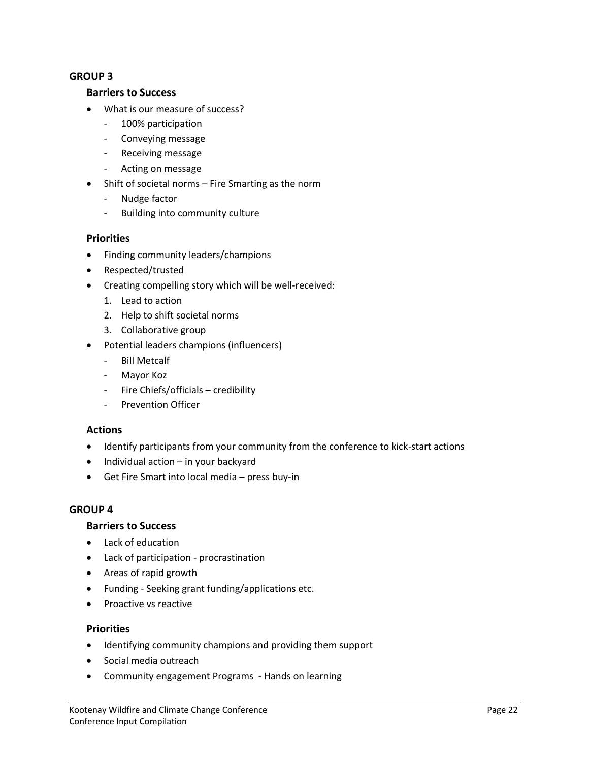#### **GROUP 3**

#### **Barriers to Success**

- What is our measure of success?
	- 100% participation
	- Conveying message
	- Receiving message
	- Acting on message
- Shift of societal norms Fire Smarting as the norm
	- Nudge factor
	- Building into community culture

#### **Priorities**

- Finding community leaders/champions
- Respected/trusted
- Creating compelling story which will be well-received:
	- 1. Lead to action
	- 2. Help to shift societal norms
	- 3. Collaborative group
- Potential leaders champions (influencers)
	- Bill Metcalf
	- Mayor Koz
	- Fire Chiefs/officials credibility
	- Prevention Officer

#### **Actions**

- Identify participants from your community from the conference to kick-start actions
- $\bullet$  Individual action in your backyard
- Get Fire Smart into local media press buy-in

#### **GROUP 4**

#### **Barriers to Success**

- Lack of education
- Lack of participation procrastination
- Areas of rapid growth
- Funding Seeking grant funding/applications etc.
- Proactive vs reactive

#### **Priorities**

- Identifying community champions and providing them support
- **•** Social media outreach
- Community engagement Programs Hands on learning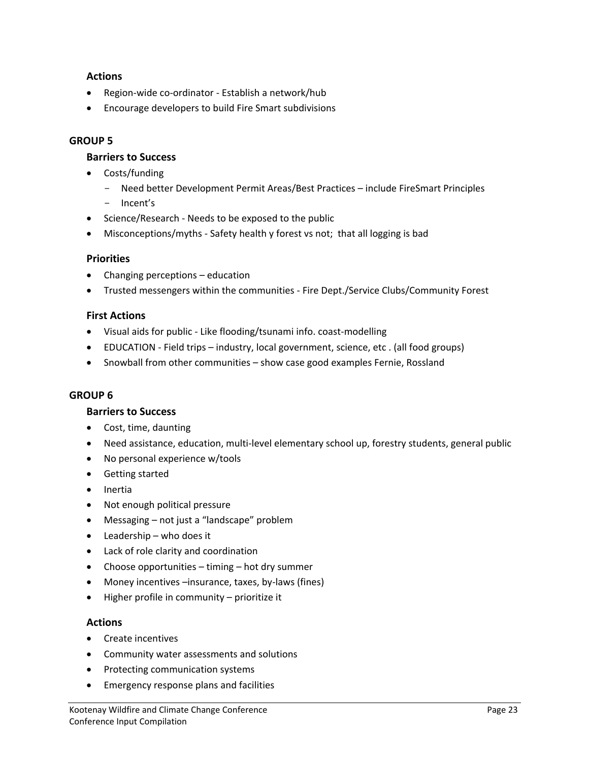#### **Actions**

- Region-wide co-ordinator Establish a network/hub
- Encourage developers to build Fire Smart subdivisions

#### **GROUP 5**

#### **Barriers to Success**

- Costs/funding
	- Need better Development Permit Areas/Best Practices include FireSmart Principles
	- Incent's
- Science/Research Needs to be exposed to the public
- Misconceptions/myths Safety health y forest vs not; that all logging is bad

#### **Priorities**

- Changing perceptions education
- Trusted messengers within the communities Fire Dept./Service Clubs/Community Forest

#### **First Actions**

- Visual aids for public Like flooding/tsunami info. coast-modelling
- EDUCATION Field trips industry, local government, science, etc . (all food groups)
- Snowball from other communities show case good examples Fernie, Rossland

#### **GROUP 6**

#### **Barriers to Success**

- Cost, time, daunting
- Need assistance, education, multi-level elementary school up, forestry students, general public
- No personal experience w/tools
- Getting started
- Inertia
- Not enough political pressure
- Messaging not just a "landscape" problem
- Leadership who does it
- Lack of role clarity and coordination
- Choose opportunities timing hot dry summer
- Money incentives –insurance, taxes, by-laws (fines)
- Higher profile in community prioritize it

#### **Actions**

- Create incentives
- Community water assessments and solutions
- Protecting communication systems
- Emergency response plans and facilities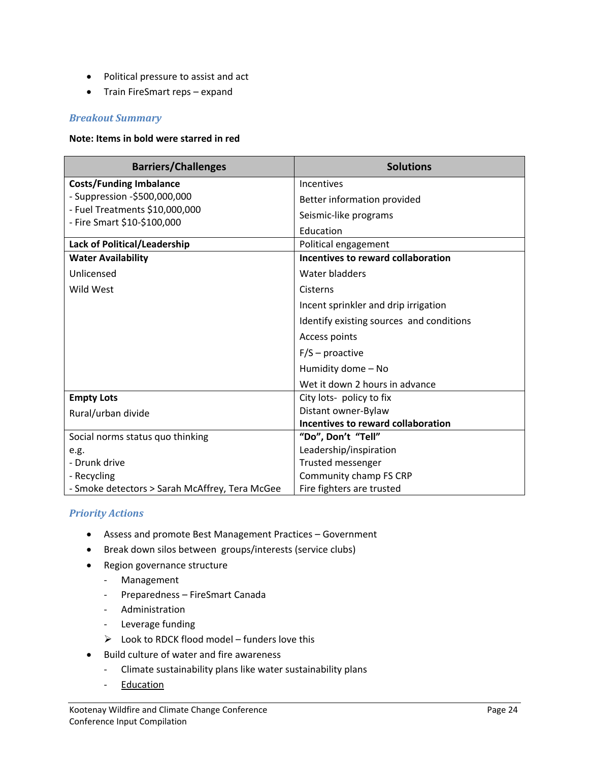- Political pressure to assist and act
- Train FireSmart reps expand

#### *Breakout Summary*

#### **Note: Items in bold were starred in red**

| <b>Barriers/Challenges</b>                     | <b>Solutions</b>                         |
|------------------------------------------------|------------------------------------------|
| <b>Costs/Funding Imbalance</b>                 | Incentives                               |
| - Suppression -\$500,000,000                   | Better information provided              |
| - Fuel Treatments \$10,000,000                 | Seismic-like programs                    |
| - Fire Smart \$10-\$100,000                    | Education                                |
| Lack of Political/Leadership                   | Political engagement                     |
| <b>Water Availability</b>                      | Incentives to reward collaboration       |
| Unlicensed                                     | Water bladders                           |
| Wild West                                      | Cisterns                                 |
|                                                | Incent sprinkler and drip irrigation     |
|                                                | Identify existing sources and conditions |
|                                                | Access points                            |
|                                                | $F/S$ – proactive                        |
|                                                | Humidity dome - No                       |
|                                                | Wet it down 2 hours in advance           |
| <b>Empty Lots</b>                              | City lots- policy to fix                 |
| Rural/urban divide                             | Distant owner-Bylaw                      |
|                                                | Incentives to reward collaboration       |
| Social norms status quo thinking               | "Do", Don't "Tell"                       |
| e.g.                                           | Leadership/inspiration                   |
| - Drunk drive                                  | Trusted messenger                        |
| - Recycling                                    | Community champ FS CRP                   |
| - Smoke detectors > Sarah McAffrey, Tera McGee | Fire fighters are trusted                |

#### *Priority Actions*

- Assess and promote Best Management Practices Government
- Break down silos between groups/interests (service clubs)
- Region governance structure
	- Management
	- Preparedness FireSmart Canada
	- Administration
	- Leverage funding
	- $\triangleright$  Look to RDCK flood model funders love this
- Build culture of water and fire awareness
	- Climate sustainability plans like water sustainability plans
	- Education